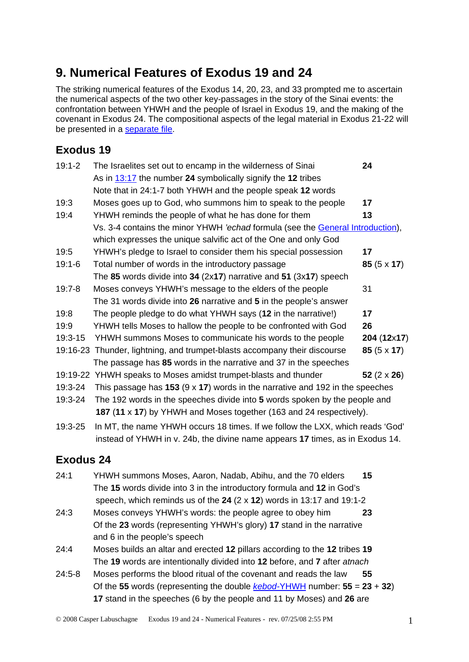## **9. Numerical Features of Exodus 19 and 24**

The striking numerical features of the Exodus 14, 20, 23, and 33 prompted me to ascertain the numerical aspects of the two other key-passages in the story of the Sinai events: the confrontation between YHWH and the people of Israel in Exodus 19, and the making of the covenant in Exodus 24. The compositional aspects of the legal material in Exodus 21-22 will be presented in a [separate file.](http://www.labuschagne.nl/10.exod21and22.pdf)

## **Exodus 19**

| $19:1 - 2$ | The Israelites set out to encamp in the wilderness of Sinai                           | 24                 |
|------------|---------------------------------------------------------------------------------------|--------------------|
|            | As in $13:17$ the number 24 symbolically signify the 12 tribes                        |                    |
|            | Note that in 24:1-7 both YHWH and the people speak 12 words                           |                    |
| 19:3       | Moses goes up to God, who summons him to speak to the people                          | 17                 |
| 19:4       | YHWH reminds the people of what he has done for them                                  | 13                 |
|            | Vs. 3-4 contains the minor YHWH 'echad formula (see the General Introduction),        |                    |
|            | which expresses the unique salvific act of the One and only God                       |                    |
| 19:5       | YHWH's pledge to Israel to consider them his special possession                       | 17                 |
| $19:1-6$   | Total number of words in the introductory passage                                     | 85 $(5 \times 17)$ |
|            | The 85 words divide into 34 (2x17) narrative and 51 (3x17) speech                     |                    |
| $19:7 - 8$ | Moses conveys YHWH's message to the elders of the people                              | 31                 |
|            | The 31 words divide into 26 narrative and 5 in the people's answer                    |                    |
| 19:8       | The people pledge to do what YHWH says (12 in the narrative!)                         | 17                 |
| 19:9       | YHWH tells Moses to hallow the people to be confronted with God                       | 26                 |
| 19:3-15    | YHWH summons Moses to communicate his words to the people                             | 204 (12x17)        |
|            | 19:16-23 Thunder, lightning, and trumpet-blasts accompany their discourse             | $85(5 \times 17)$  |
|            | The passage has 85 words in the narrative and 37 in the speeches                      |                    |
|            | 19:19-22 YHWH speaks to Moses amidst trumpet-blasts and thunder                       | 52 $(2 \times 26)$ |
| 19:3-24    | This passage has 153 ( $9 \times 17$ ) words in the narrative and 192 in the speeches |                    |
| 19:3-24    | The 192 words in the speeches divide into 5 words spoken by the people and            |                    |
|            | 187 (11 x 17) by YHWH and Moses together (163 and 24 respectively).                   |                    |
| 19:3-25    | In MT, the name YHWH occurs 18 times. If we follow the LXX, which reads 'God'         |                    |
|            | instead of YHWH in v. 24b, the divine name appears 17 times, as in Exodus 14.         |                    |

## **Exodus 24**

- 24:1 YHWH summons Moses, Aaron, Nadab, Abihu, and the 70 elders **15** The **15** words divide into 3 in the introductory formula and **12** in God's speech, which reminds us of the **24** (2 x **12**) words in 13:17 and 19:1-2
- 24:3 Moses conveys YHWH's words: the people agree to obey him **23** Of the **23** words (representing YHWH's glory) **17** stand in the narrative and 6 in the people's speech
- 24:4 Moses builds an altar and erected **12** pillars according to the **12** tribes **19** The **19** words are intentionally divided into **12** before, and **7** after *atnach*
- 24:5-8 Moses performs the blood ritual of the covenant and reads the law **55** Of the **55** words (representing the double *kebod-*[YHWH](http://www.labuschagne.nl/aspects.pdf) number: **55** = **23** + **32**) **17** stand in the speeches (6 by the people and 11 by Moses) and **26** are